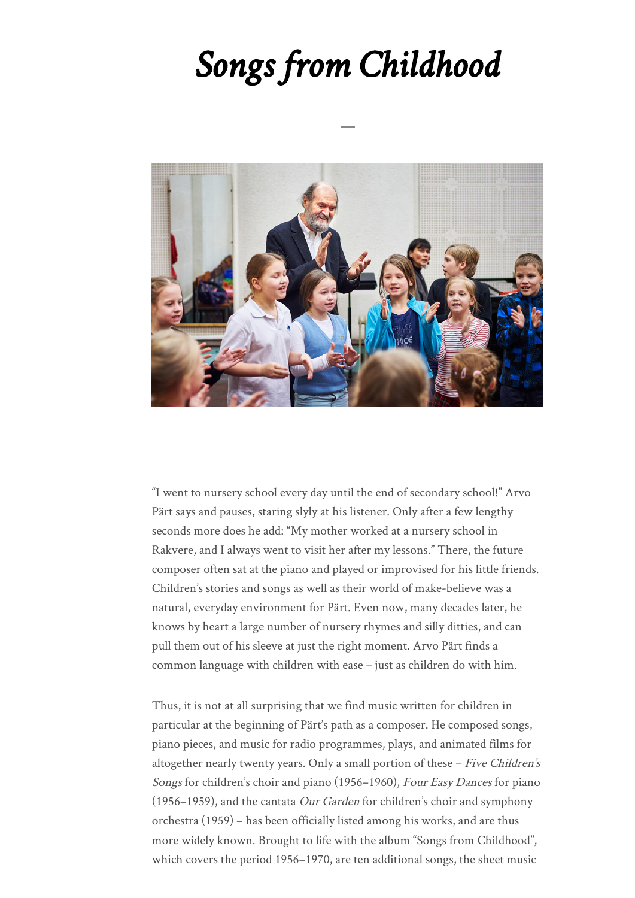## *Songs from Childhood*



"I went to nursery school every day until the end of secondary school!" Arvo Pärt says and pauses, staring slyly at his listener. Only after a few lengthy seconds more does he add: "My mother worked at a nursery school in Rakvere, and I always went to visit her after my lessons." There, the future composer often sat at the piano and played or improvised for his little friends. Children's stories and songs as well as their world of make-believe was a natural, everyday environment for Pärt. Even now, many decades later, he knows by heart a large number of nursery rhymes and silly ditties, and can pull them out of his sleeve at just the right moment. Arvo Pärt finds a common language with children with ease – just as children do with him.

Thus, it is not at all surprising that we find music written for children in particular at the beginning of Pärt's path as a composer. He composed songs, piano pieces, and music for radio programmes, plays, and animated films for altogether nearly twenty years. Only a small portion of these - Five Children's Songs for children's choir and piano (1956–1960), Four Easy Dances for piano (1956–1959), and the cantata Our Garden for children's choir and symphony orchestra (1959) – has been officially listed among his works, and are thus more widely known. Brought to life with the album "Songs from Childhood", which covers the period 1956–1970, are ten additional songs, the sheet music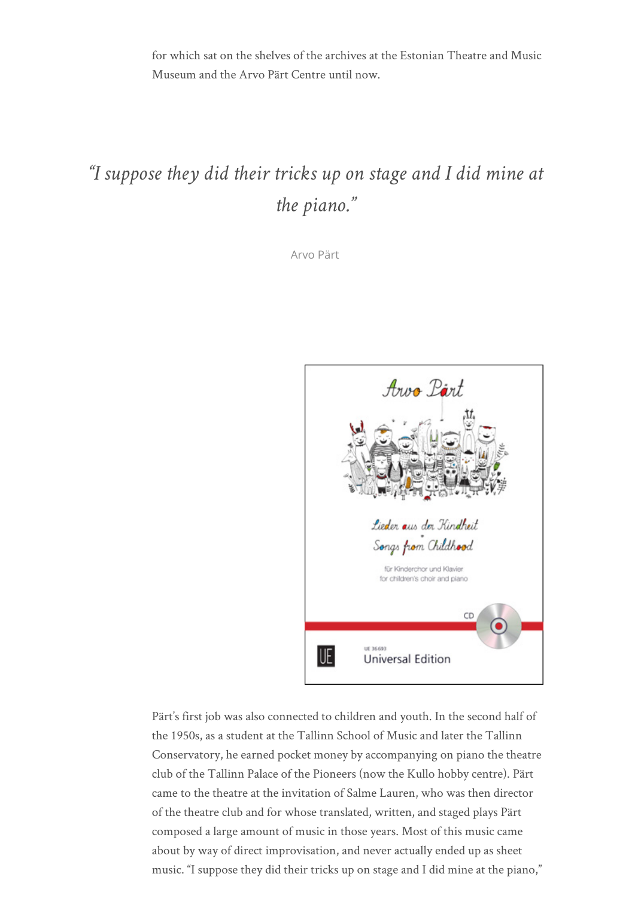for which sat on the shelves of the archives at the Estonian Theatre and Music Museum and the Arvo Pärt Centre until now.

## *"I suppose they did their tricks up on stage and I did mine at the piano."*

Arvo Pärt



Pärt's first job was also connected to children and youth. In the second half of the 1950s, as a student at the Tallinn School of Music and later the Tallinn Conservatory, he earned pocket money by accompanying on piano the theatre club of the Tallinn Palace of the Pioneers (now the Kullo hobby centre). Pärt came to the theatre at the invitation of Salme Lauren, who was then director of the theatre club and for whose translated, written, and staged plays Pärt composed a large amount of music in those years. Most of this music came about by way of direct improvisation, and never actually ended up as sheet music. "I suppose they did their tricks up on stage and I did mine at the piano,"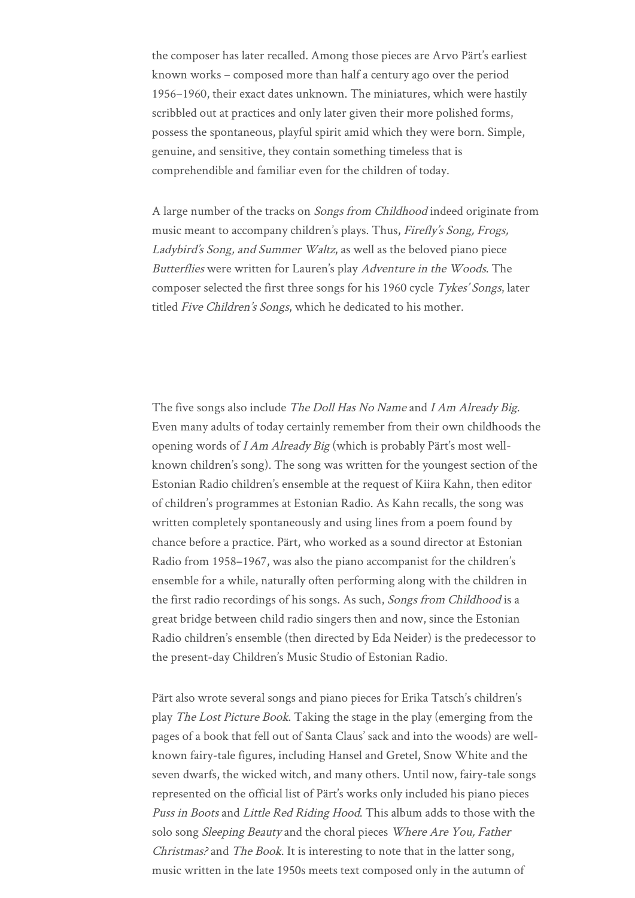the composer has later recalled. Among those pieces are Arvo Pärt's earliest known works – composed more than half a century ago over the period 1956–1960, their exact dates unknown. The miniatures, which were hastily scribbled out at practices and only later given their more polished forms, possess the spontaneous, playful spirit amid which they were born. Simple, genuine, and sensitive, they contain something timeless that is comprehendible and familiar even for the children of today.

A large number of the tracks on *Songs from Childhood* indeed originate from music meant to accompany children's plays. Thus, Firefly's Song, Frogs, Ladybird's Song, and Summer Waltz, as well as the beloved piano piece Butterflies were written for Lauren's play Adventure in the Woods. The composer selected the first three songs for his 1960 cycle Tykes' Songs, later titled Five Children's Songs, which he dedicated to his mother.

The five songs also include The Doll Has No Name and I Am Already Big. Even many adults of today certainly remember from their own childhoods the opening words of I Am Already Big (which is probably Pärt's most wellknown children's song). The song was written for the youngest section of the Estonian Radio children's ensemble at the request of Kiira Kahn, then editor of children's programmes at Estonian Radio. As Kahn recalls, the song was written completely spontaneously and using lines from a poem found by chance before a practice. Pärt, who worked as a sound director at Estonian Radio from 1958–1967, was also the piano accompanist for the children's ensemble for a while, naturally often performing along with the children in the first radio recordings of his songs. As such, Songs from Childhood is a great bridge between child radio singers then and now, since the Estonian Radio children's ensemble (then directed by Eda Neider) is the predecessor to the present-day Children's Music Studio of Estonian Radio.

Pärt also wrote several songs and piano pieces for Erika Tatsch's children's play The Lost Picture Book. Taking the stage in the play (emerging from the pages of a book that fell out of Santa Claus' sack and into the woods) are wellknown fairy-tale figures, including Hansel and Gretel, Snow White and the seven dwarfs, the wicked witch, and many others. Until now, fairy-tale songs represented on the official list of Pärt's works only included his piano pieces Puss in Boots and Little Red Riding Hood. This album adds to those with the solo song Sleeping Beauty and the choral pieces Where Are You, Father Christmas? and The Book. It is interesting to note that in the latter song, music written in the late 1950s meets text composed only in the autumn of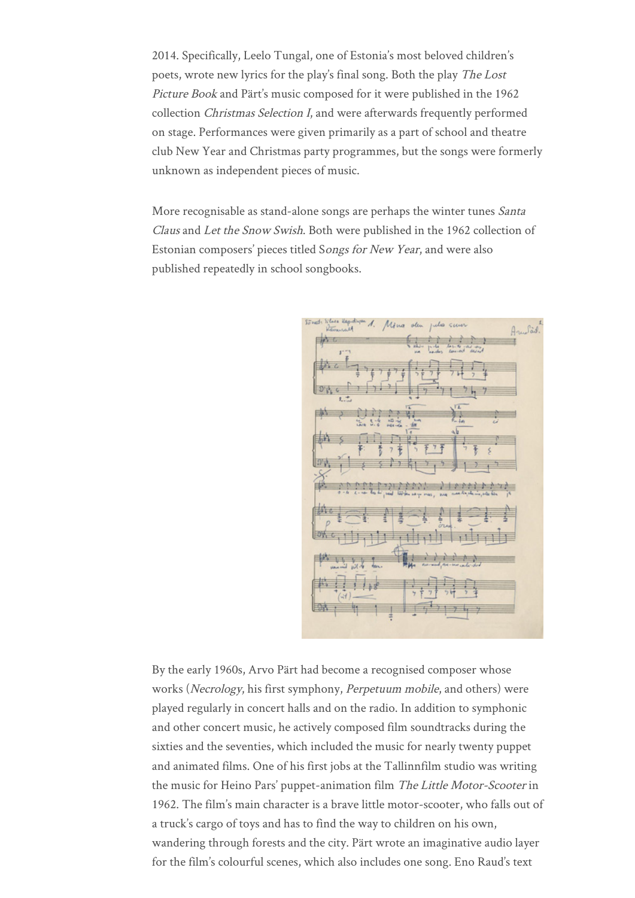2014. Specifically, Leelo Tungal, one of Estonia's most beloved children's poets, wrote new lyrics for the play's final song. Both the play The Lost Picture Book and Pärt's music composed for it were published in the 1962 collection Christmas Selection I, and were afterwards frequently performed on stage. Performances were given primarily as a part of school and theatre club New Year and Christmas party programmes, but the songs were formerly unknown as independent pieces of music.

More recognisable as stand-alone songs are perhaps the winter tunes Santa Claus and Let the Snow Swish. Both were published in the 1962 collection of Estonian composers' pieces titled Songs for New Year, and were also published repeatedly in school songbooks.



By the early 1960s, Arvo Pärt had become a recognised composer whose works (Necrology, his first symphony, Perpetuum mobile, and others) were played regularly in concert halls and on the radio. In addition to symphonic and other concert music, he actively composed film soundtracks during the sixties and the seventies, which included the music for nearly twenty puppet and animated films. One of his first jobs at the Tallinnfilm studio was writing the music for Heino Pars' puppet-animation film The Little Motor-Scooter in 1962. The film's main character is a brave little motor-scooter, who falls out of a truck's cargo of toys and has to find the way to children on his own, wandering through forests and the city. Pärt wrote an imaginative audio layer for the film's colourful scenes, which also includes one song. Eno Raud's text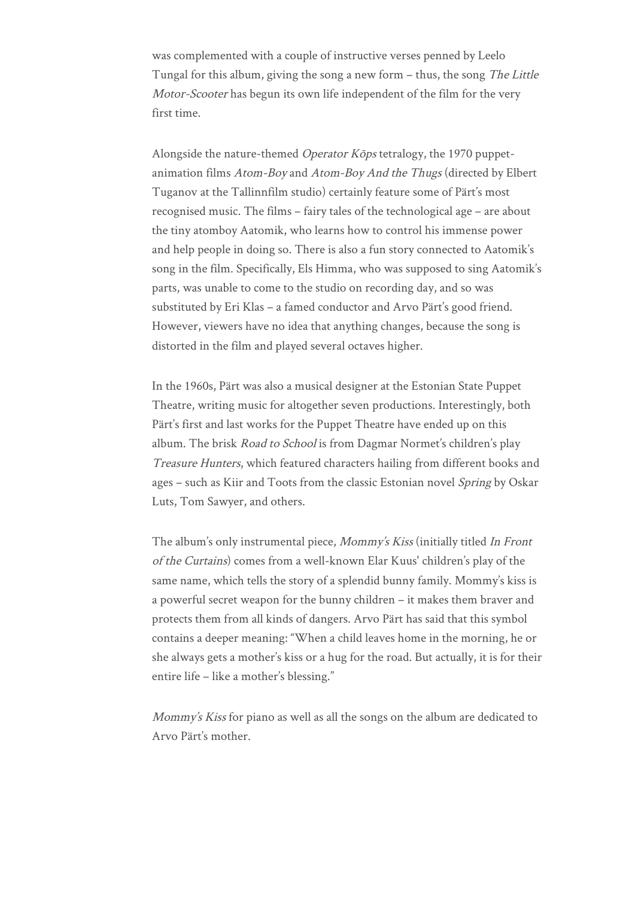was complemented with a couple of instructive verses penned by Leelo Tungal for this album, giving the song a new form – thus, the song The Little Motor-Scooter has begun its own life independent of the film for the very first time.

Alongside the nature-themed *Operator Kõps* tetralogy, the 1970 puppetanimation films Atom-Boy and Atom-Boy And the Thugs (directed by Elbert Tuganov at the Tallinnfilm studio) certainly feature some of Pärt's most recognised music. The films – fairy tales of the technological age – are about the tiny atomboy Aatomik, who learns how to control his immense power and help people in doing so. There is also a fun story connected to Aatomik's song in the film. Specifically, Els Himma, who was supposed to sing Aatomik's parts, was unable to come to the studio on recording day, and so was substituted by Eri Klas – a famed conductor and Arvo Pärt's good friend. However, viewers have no idea that anything changes, because the song is distorted in the film and played several octaves higher.

In the 1960s, Pärt was also a musical designer at the Estonian State Puppet Theatre, writing music for altogether seven productions. Interestingly, both Pärt's first and last works for the Puppet Theatre have ended up on this album. The brisk Road to School is from Dagmar Normet's children's play Treasure Hunters, which featured characters hailing from different books and ages – such as Kiir and Toots from the classic Estonian novel Spring by Oskar Luts, Tom Sawyer, and others.

The album's only instrumental piece, Mommy's Kiss (initially titled In Front of the Curtains) comes from a well-known Elar Kuus' children's play of the same name, which tells the story of a splendid bunny family. Mommy's kiss is a powerful secret weapon for the bunny children – it makes them braver and protects them from all kinds of dangers. Arvo Pärt has said that this symbol contains a deeper meaning: "When a child leaves home in the morning, he or she always gets a mother's kiss or a hug for the road. But actually, it is for their entire life – like a mother's blessing."

Mommy's Kiss for piano as well as all the songs on the album are dedicated to Arvo Pärt's mother.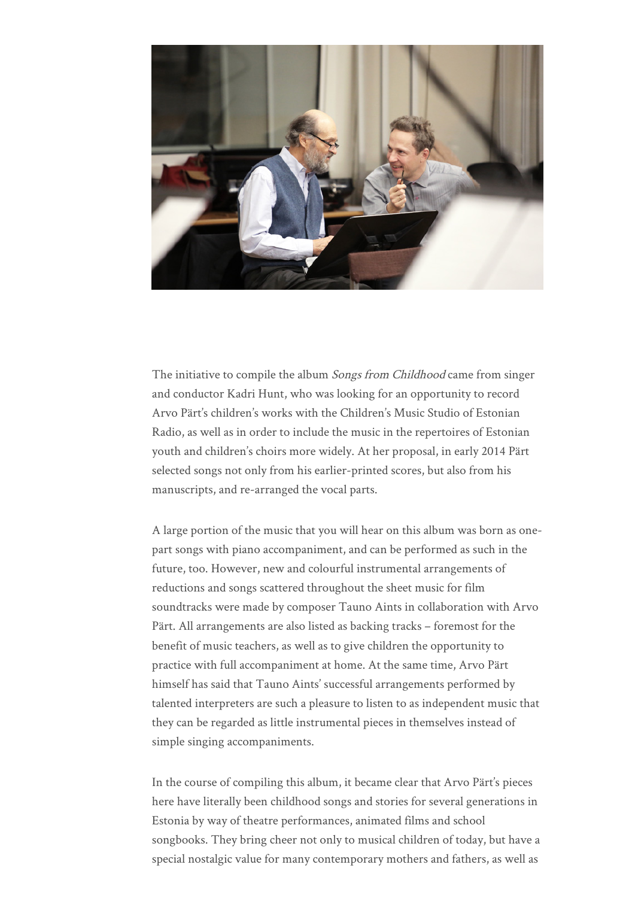

The initiative to compile the album *Songs from Childhood* came from singer and conductor Kadri Hunt, who was looking for an opportunity to record Arvo Pärt's children's works with the Children's Music Studio of Estonian Radio, as well as in order to include the music in the repertoires of Estonian youth and children's choirs more widely. At her proposal, in early 2014 Pärt selected songs not only from his earlier-printed scores, but also from his manuscripts, and re-arranged the vocal parts.

A large portion of the music that you will hear on this album was born as onepart songs with piano accompaniment, and can be performed as such in the future, too. However, new and colourful instrumental arrangements of reductions and songs scattered throughout the sheet music for film soundtracks were made by composer Tauno Aints in collaboration with Arvo Pärt. All arrangements are also listed as backing tracks – foremost for the benefit of music teachers, as well as to give children the opportunity to practice with full accompaniment at home. At the same time, Arvo Pärt himself has said that Tauno Aints' successful arrangements performed by talented interpreters are such a pleasure to listen to as independent music that they can be regarded as little instrumental pieces in themselves instead of simple singing accompaniments.

In the course of compiling this album, it became clear that Arvo Pärt's pieces here have literally been childhood songs and stories for several generations in Estonia by way of theatre performances, animated films and school songbooks. They bring cheer not only to musical children of today, but have a special nostalgic value for many contemporary mothers and fathers, as well as